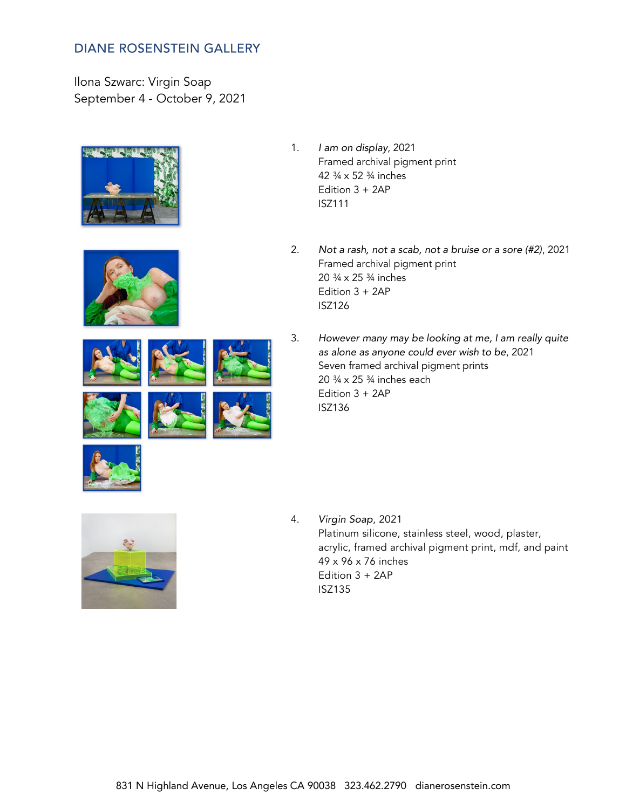Ilona Szwarc: Virgin Soap September 4 - October 9, 2021













- 1. *I am on display*, 2021 Framed archival pigment print 42 ¾ x 52 ¾ inches Edition 3 + 2AP ISZ111
- 2. *Not a rash, not a scab, not a bruise or a sore (#2)*, 2021 Framed archival pigment print 20 ¾ x 25 ¾ inches Edition 3 + 2AP ISZ126
- 3. *However many may be looking at me, I am really quite as alone as anyone could ever wish to be*, 2021 Seven framed archival pigment prints 20 ¾ x 25 ¾ inches each Edition 3 + 2AP ISZ136





4. *Virgin Soap*, 2021 Platinum silicone, stainless steel, wood, plaster, acrylic, framed archival pigment print, mdf, and paint 49 x 96 x 76 inches Edition 3 + 2AP ISZ135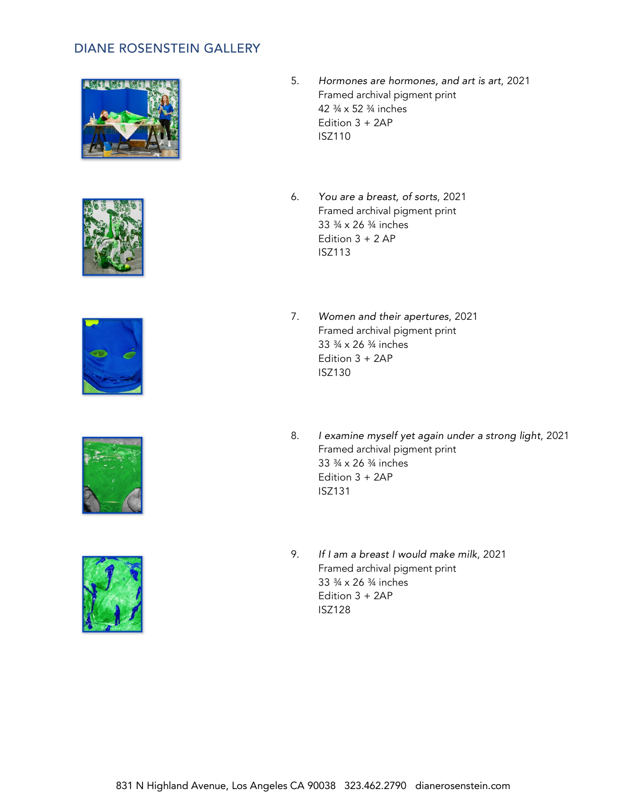









- 5. *Hormones are hormones, and art is art*, 2021 Framed archival pigment print 42 ¾ x 52 ¾ inches Edition 3 + 2AP ISZ110
- 6. *You are a breast, of sorts*, 2021 Framed archival pigment print 33 ¾ x 26 ¾ inches Edition  $3 + 2$  AP ISZ113
- 7. *Women and their apertures*, 2021 Framed archival pigment print 33 ¾ x 26 ¾ inches Edition 3 + 2AP ISZ130
- 8. *I examine myself yet again under a strong light*, 2021 Framed archival pigment print 33 ¾ x 26 ¾ inches Edition 3 + 2AP ISZ131
- 9. *If I am a breast I would make milk*, 2021 Framed archival pigment print 33 ¾ x 26 ¾ inches Edition 3 + 2AP ISZ128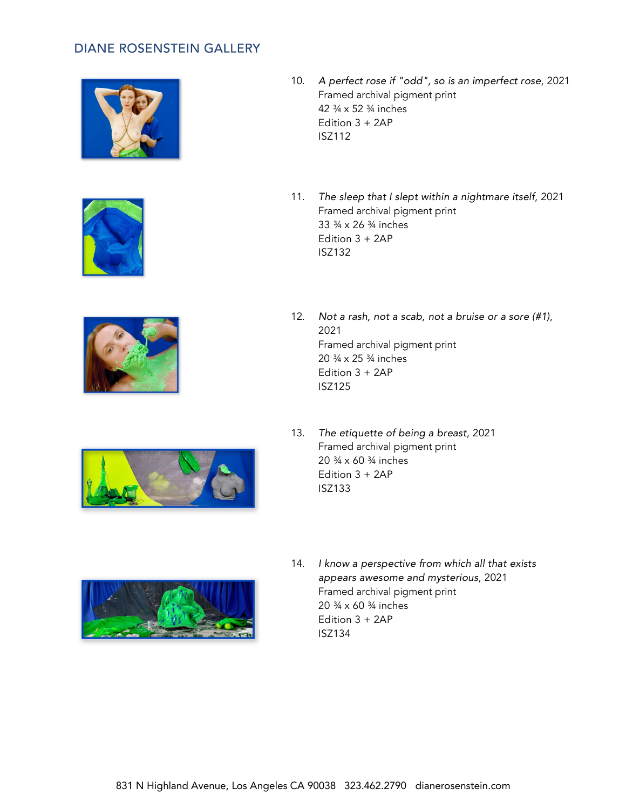





11. *The sleep that I slept within a nightmare itself*, 2021 Framed archival pigment print 33 ¾ x 26 ¾ inches Edition 3 + 2AP ISZ132



- 12. *Not a rash, not a scab, not a bruise or a sore (#1)*, 2021 Framed archival pigment print 20 ¾ x 25 ¾ inches Edition 3 + 2AP ISZ125
- 13. *The etiquette of being a breast*, 2021 Framed archival pigment print 20 ¾ x 60 ¾ inches Edition 3 + 2AP ISZ133



14. *I know a perspective from which all that exists appears awesome and mysterious*, 2021 Framed archival pigment print 20 ¾ x 60 ¾ inches Edition 3 + 2AP ISZ134